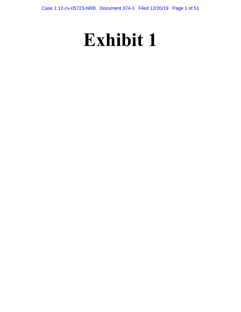# **Exhibit 1**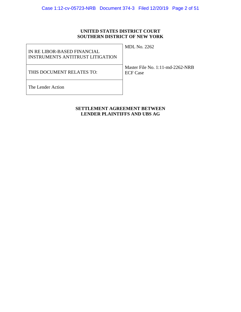# **UNITED STATES DISTRICT COURT SOUTHERN DISTRICT OF NEW YORK**

| IN RE LIBOR-BASED FINANCIAL<br>INSTRUMENTS ANTITRUST LITIGATION | <b>MDL No. 2262</b>                                    |
|-----------------------------------------------------------------|--------------------------------------------------------|
| THIS DOCUMENT RELATES TO:                                       | Master File No. $1:11$ -md-2262-NRB<br><b>ECF</b> Case |
| The Lender Action                                               |                                                        |

# **SETTLEMENT AGREEMENT BETWEEN LENDER PLAINTIFFS AND UBS AG**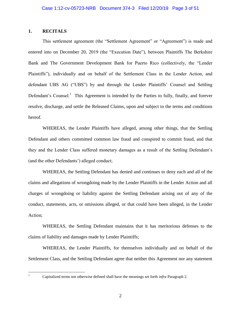# **1. RECITALS**

This settlement agreement (the "Settlement Agreement" or "Agreement") is made and entered into on December 20, 2019 (the "Execution Date"), between Plaintiffs The Berkshire Bank and The Government Development Bank for Puerto Rico (collectively, the "Lender Plaintiffs"), individually and on behalf of the Settlement Class in the Lender Action, and defendant UBS AG ("UBS") by and through the Lender Plaintiffs' Counsel and Settling Defendant's Counsel.<sup>1</sup> This Agreement is intended by the Parties to fully, finally, and forever resolve, discharge, and settle the Released Claims, upon and subject to the terms and conditions hereof.

WHEREAS, the Lender Plaintiffs have alleged, among other things, that the Settling Defendant and others committed common law fraud and conspired to commit fraud, and that they and the Lender Class suffered monetary damages as a result of the Settling Defendant's (and the other Defendants') alleged conduct;

WHEREAS, the Settling Defendant has denied and continues to deny each and all of the claims and allegations of wrongdoing made by the Lender Plaintiffs in the Lender Action and all charges of wrongdoing or liability against the Settling Defendant arising out of any of the conduct, statements, acts, or omissions alleged, or that could have been alleged, in the Lender Action;

WHEREAS, the Settling Defendant maintains that it has meritorious defenses to the claims of liability and damages made by Lender Plaintiffs;

WHEREAS, the Lender Plaintiffs, for themselves individually and on behalf of the Settlement Class, and the Settling Defendant agree that neither this Agreement nor any statement

 $\mathbf{1}$ 

<sup>1</sup> Capitalized terms not otherwise defined shall have the meanings set forth *infra* Paragraph 2.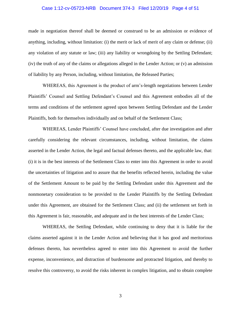#### Case 1:12-cv-05723-NRB Document 374-3 Filed 12/20/19 Page 4 of 51

made in negotiation thereof shall be deemed or construed to be an admission or evidence of anything, including, without limitation: (i) the merit or lack of merit of any claim or defense; (ii) any violation of any statute or law; (iii) any liability or wrongdoing by the Settling Defendant; (iv) the truth of any of the claims or allegations alleged in the Lender Action; or (v) an admission of liability by any Person, including, without limitation, the Released Parties;

WHEREAS, this Agreement is the product of arm's-length negotiations between Lender Plaintiffs' Counsel and Settling Defendant's Counsel and this Agreement embodies all of the terms and conditions of the settlement agreed upon between Settling Defendant and the Lender Plaintiffs, both for themselves individually and on behalf of the Settlement Class;

WHEREAS, Lender Plaintiffs' Counsel have concluded, after due investigation and after carefully considering the relevant circumstances, including, without limitation, the claims asserted in the Lender Action, the legal and factual defenses thereto, and the applicable law, that: (i) it is in the best interests of the Settlement Class to enter into this Agreement in order to avoid the uncertainties of litigation and to assure that the benefits reflected herein, including the value of the Settlement Amount to be paid by the Settling Defendant under this Agreement and the nonmonetary consideration to be provided to the Lender Plaintiffs by the Settling Defendant under this Agreement, are obtained for the Settlement Class; and (ii) the settlement set forth in this Agreement is fair, reasonable, and adequate and in the best interests of the Lender Class;

WHEREAS, the Settling Defendant, while continuing to deny that it is liable for the claims asserted against it in the Lender Action and believing that it has good and meritorious defenses thereto, has nevertheless agreed to enter into this Agreement to avoid the further expense, inconvenience, and distraction of burdensome and protracted litigation, and thereby to resolve this controversy, to avoid the risks inherent in complex litigation, and to obtain complete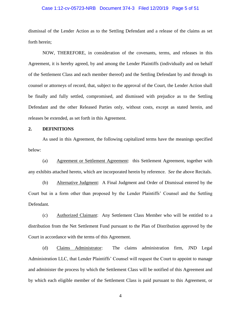#### Case 1:12-cv-05723-NRB Document 374-3 Filed 12/20/19 Page 5 of 51

dismissal of the Lender Action as to the Settling Defendant and a release of the claims as set forth herein;

NOW, THEREFORE, in consideration of the covenants, terms, and releases in this Agreement, it is hereby agreed, by and among the Lender Plaintiffs (individually and on behalf of the Settlement Class and each member thereof) and the Settling Defendant by and through its counsel or attorneys of record, that, subject to the approval of the Court, the Lender Action shall be finally and fully settled, compromised, and dismissed with prejudice as to the Settling Defendant and the other Released Parties only, without costs, except as stated herein, and releases be extended, as set forth in this Agreement.

# **2. DEFINITIONS**

As used in this Agreement, the following capitalized terms have the meanings specified below:

(a) Agreement or Settlement Agreement: this Settlement Agreement, together with any exhibits attached hereto, which are incorporated herein by reference. *See* the above Recitals.

(b) Alternative Judgment: A Final Judgment and Order of Dismissal entered by the Court but in a form other than proposed by the Lender Plaintiffs' Counsel and the Settling Defendant.

(c) Authorized Claimant: Any Settlement Class Member who will be entitled to a distribution from the Net Settlement Fund pursuant to the Plan of Distribution approved by the Court in accordance with the terms of this Agreement.

(d) Claims Administrator: The claims administration firm, JND Legal Administration LLC, that Lender Plaintiffs' Counsel will request the Court to appoint to manage and administer the process by which the Settlement Class will be notified of this Agreement and by which each eligible member of the Settlement Class is paid pursuant to this Agreement, or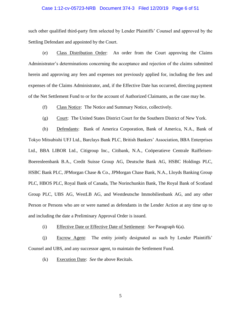#### Case 1:12-cv-05723-NRB Document 374-3 Filed 12/20/19 Page 6 of 51

such other qualified third-party firm selected by Lender Plaintiffs' Counsel and approved by the Settling Defendant and appointed by the Court.

(e) Class Distribution Order: An order from the Court approving the Claims Administrator's determinations concerning the acceptance and rejection of the claims submitted herein and approving any fees and expenses not previously applied for, including the fees and expenses of the Claims Administrator, and, if the Effective Date has occurred, directing payment of the Net Settlement Fund to or for the account of Authorized Claimants, as the case may be.

(f) Class Notice: The Notice and Summary Notice, collectively.

(g) Court: The United States District Court for the Southern District of New York.

(h) Defendants: Bank of America Corporation, Bank of America, N.A., Bank of Tokyo Mitsubishi UFJ Ltd., Barclays Bank PLC, British Bankers' Association, BBA Enterprises Ltd., BBA LIBOR Ltd., Citigroup Inc., Citibank, N.A., Coöperatieve Centrale Raiffeisen-Boerenleenbank B.A., Credit Suisse Group AG, Deutsche Bank AG, HSBC Holdings PLC, HSBC Bank PLC, JPMorgan Chase & Co., JPMorgan Chase Bank, N.A., Lloyds Banking Group PLC, HBOS PLC, Royal Bank of Canada, The Norinchunkin Bank, The Royal Bank of Scotland Group PLC, UBS AG, WestLB AG, and Westdeutsche Immobilienbank AG, and any other Person or Persons who are or were named as defendants in the Lender Action at any time up to and including the date a Preliminary Approval Order is issued.

(i) Effective Date or Effective Date of Settlement: *See* Paragraph 6(a).

(j) Escrow Agent: The entity jointly designated as such by Lender Plaintiffs' Counsel and UBS, and any successor agent, to maintain the Settlement Fund.

(k) Execution Date: *See* the above Recitals.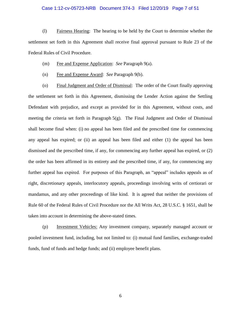#### Case 1:12-cv-05723-NRB Document 374-3 Filed 12/20/19 Page 7 of 51

(l) Fairness Hearing: The hearing to be held by the Court to determine whether the settlement set forth in this Agreement shall receive final approval pursuant to Rule 23 of the Federal Rules of Civil Procedure.

#### (m) Fee and Expense Application: *See* Paragraph 9(a).

(n) Fee and Expense Award: *See* Paragraph 9(b).

(o) Final Judgment and Order of Dismissal: The order of the Court finally approving the settlement set forth in this Agreement, dismissing the Lender Action against the Settling Defendant with prejudice, and except as provided for in this Agreement, without costs, and meeting the criteria set forth in Paragraph 5(g). The Final Judgment and Order of Dismissal shall become final when: (i) no appeal has been filed and the prescribed time for commencing any appeal has expired; or (ii) an appeal has been filed and either (1) the appeal has been dismissed and the prescribed time, if any, for commencing any further appeal has expired, or (2) the order has been affirmed in its entirety and the prescribed time, if any, for commencing any further appeal has expired. For purposes of this Paragraph, an "appeal" includes appeals as of right, discretionary appeals, interlocutory appeals, proceedings involving writs of certiorari or mandamus, and any other proceedings of like kind. It is agreed that neither the provisions of Rule 60 of the Federal Rules of Civil Procedure nor the All Writs Act, 28 U.S.C. § 1651, shall be taken into account in determining the above-stated times.

(p) Investment Vehicles: Any investment company, separately managed account or pooled investment fund, including, but not limited to: (i) mutual fund families, exchange-traded funds, fund of funds and hedge funds; and (ii) employee benefit plans.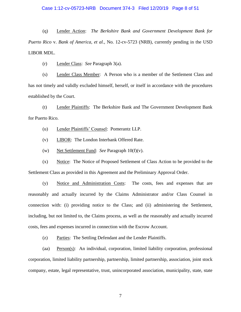## Case 1:12-cv-05723-NRB Document 374-3 Filed 12/20/19 Page 8 of 51

(q) Lender Action: *The Berkshire Bank and Government Development Bank for Puerto Rico* v. *Bank of America, et al.*, No. 12-cv-5723 (NRB), currently pending in the USD LIBOR MDL.

(r) Lender Class: *See* Paragraph 3(a).

(s) Lender Class Member: A Person who is a member of the Settlement Class and has not timely and validly excluded himself, herself, or itself in accordance with the procedures established by the Court.

(t) Lender Plaintiffs: The Berkshire Bank and The Government Development Bank for Puerto Rico.

(u) Lender Plaintiffs' Counsel: Pomerantz LLP.

(v) LIBOR: The London Interbank Offered Rate.

(w) Net Settlement Fund: *See* Paragraph 10(f)(v).

(x) Notice: The Notice of Proposed Settlement of Class Action to be provided to the Settlement Class as provided in this Agreement and the Preliminary Approval Order.

(y) Notice and Administration Costs: The costs, fees and expenses that are reasonably and actually incurred by the Claims Administrator and/or Class Counsel in connection with: (i) providing notice to the Class; and (ii) administering the Settlement, including, but not limited to, the Claims process, as well as the reasonably and actually incurred costs, fees and expenses incurred in connection with the Escrow Account.

(z) Parties: The Settling Defendant and the Lender Plaintiffs.

(aa) Person(s): An individual, corporation, limited liability corporation, professional corporation, limited liability partnership, partnership, limited partnership, association, joint stock company, estate, legal representative, trust, unincorporated association, municipality, state, state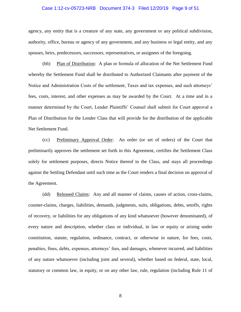# Case 1:12-cv-05723-NRB Document 374-3 Filed 12/20/19 Page 9 of 51

agency, any entity that is a creature of any state, any government or any political subdivision, authority, office, bureau or agency of any government, and any business or legal entity, and any spouses, heirs, predecessors, successors, representatives, or assignees of the foregoing.

(bb) Plan of Distribution: A plan or formula of allocation of the Net Settlement Fund whereby the Settlement Fund shall be distributed to Authorized Claimants after payment of the Notice and Administration Costs of the settlement, Taxes and tax expenses, and such attorneys' fees, costs, interest, and other expenses as may be awarded by the Court. At a time and in a manner determined by the Court, Lender Plaintiffs' Counsel shall submit for Court approval a Plan of Distribution for the Lender Class that will provide for the distribution of the applicable Net Settlement Fund.

(cc) Preliminary Approval Order: An order (or set of orders) of the Court that preliminarily approves the settlement set forth in this Agreement, certifies the Settlement Class solely for settlement purposes, directs Notice thereof to the Class, and stays all proceedings against the Settling Defendant until such time as the Court renders a final decision on approval of the Agreement.

(dd) Released Claims: Any and all manner of claims, causes of action, cross-claims, counter-claims, charges, liabilities, demands, judgments, suits, obligations, debts, setoffs, rights of recovery, or liabilities for any obligations of any kind whatsoever (however denominated), of every nature and description, whether class or individual, in law or equity or arising under constitution, statute, regulation, ordinance, contract, or otherwise in nature, for fees, costs, penalties, fines, debts, expenses, attorneys' fees, and damages, whenever incurred, and liabilities of any nature whatsoever (including joint and several), whether based on federal, state, local, statutory or common law, in equity, or on any other law, rule, regulation (including Rule 11 of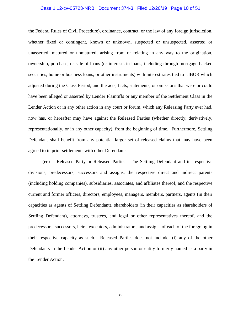#### Case 1:12-cv-05723-NRB Document 374-3 Filed 12/20/19 Page 10 of 51

the Federal Rules of Civil Procedure), ordinance, contract, or the law of any foreign jurisdiction, whether fixed or contingent, known or unknown, suspected or unsuspected, asserted or unasserted, matured or unmatured, arising from or relating in any way to the origination, ownership, purchase, or sale of loans (or interests in loans, including through mortgage-backed securities, home or business loans, or other instruments) with interest rates tied to LIBOR which adjusted during the Class Period, and the acts, facts, statements, or omissions that were or could have been alleged or asserted by Lender Plaintiffs or any member of the Settlement Class in the Lender Action or in any other action in any court or forum, which any Releasing Party ever had, now has, or hereafter may have against the Released Parties (whether directly, derivatively, representationally, or in any other capacity), from the beginning of time. Furthermore, Settling Defendant shall benefit from any potential larger set of released claims that may have been agreed to in prior settlements with other Defendants.

(ee) Released Party or Released Parties: The Settling Defendant and its respective divisions, predecessors, successors and assigns, the respective direct and indirect parents (including holding companies), subsidiaries, associates, and affiliates thereof, and the respective current and former officers, directors, employees, managers, members, partners, agents (in their capacities as agents of Settling Defendant), shareholders (in their capacities as shareholders of Settling Defendant), attorneys, trustees, and legal or other representatives thereof, and the predecessors, successors, heirs, executors, administrators, and assigns of each of the foregoing in their respective capacity as such. Released Parties does not include: (i) any of the other Defendants in the Lender Action or (ii) any other person or entity formerly named as a party in the Lender Action.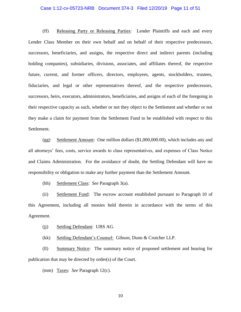#### Case 1:12-cv-05723-NRB Document 374-3 Filed 12/20/19 Page 11 of 51

(ff) Releasing Party or Releasing Parties: Lender Plaintiffs and each and every Lender Class Member on their own behalf and on behalf of their respective predecessors, successors, beneficiaries, and assigns, the respective direct and indirect parents (including holding companies), subsidiaries, divisions, associates, and affiliates thereof, the respective future, current, and former officers, directors, employees, agents, stockholders, trustees, fiduciaries, and legal or other representatives thereof, and the respective predecessors, successors, heirs, executors, administrators, beneficiaries, and assigns of each of the foregoing in their respective capacity as such, whether or not they object to the Settlement and whether or not they make a claim for payment from the Settlement Fund to be established with respect to this Settlement.

(gg) Settlement Amount: One million dollars (\$1,000,000.00), which includes any and all attorneys' fees, costs, service awards to class representatives, and expenses of Class Notice and Claims Administration. For the avoidance of doubt, the Settling Defendant will have no responsibility or obligation to make any further payment than the Settlement Amount.

(hh) Settlement Class: *See* Paragraph 3(a).

(ii) Settlement Fund: The escrow account established pursuant to Paragraph 10 of this Agreement, including all monies held therein in accordance with the terms of this Agreement.

(ii) Settling Defendant: UBS AG.

(kk) Settling Defendant's Counsel: Gibson, Dunn & Crutcher LLP.

(ll) Summary Notice: The summary notice of proposed settlement and hearing for publication that may be directed by order(s) of the Court.

(mm) Taxes: *See* Paragraph 12(c).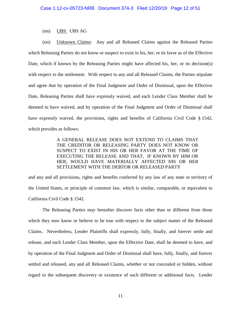(nn) UBS: UBS AG

(oo) Unknown Claims: Any and all Released Claims against the Released Parties which Releasing Parties do not know or suspect to exist in his, her, or its favor as of the Effective Date, which if known by the Releasing Parties might have affected his, her, or its decision(s) with respect to the settlement. With respect to any and all Released Claims, the Parties stipulate and agree that by operation of the Final Judgment and Order of Dismissal, upon the Effective Date, Releasing Parties shall have expressly waived, and each Lender Class Member shall be deemed to have waived, and by operation of the Final Judgment and Order of Dismissal shall have expressly waived, the provisions, rights and benefits of California Civil Code § 1542, which provides as follows:

> A GENERAL RELEASE DOES NOT EXTEND TO CLAIMS THAT THE CREDITOR OR RELEASING PARTY DOES NOT KNOW OR SUSPECT TO EXIST IN HIS OR HER FAVOR AT THE TIME OF EXECUTING THE RELEASE AND THAT, IF KNOWN BY HIM OR HER, WOULD HAVE MATERIALLY AFFECTED HIS OR HER SETTLEMENT WITH THE DEBTOR OR RELEASED PARTY

and any and all provisions, rights and benefits conferred by any law of any state or territory of the United States, or principle of common law, which is similar, comparable, or equivalent to California Civil Code § 1542.

The Releasing Parties may hereafter discover facts other than or different from those which they now know or believe to be true with respect to the subject matter of the Released Claims. Nevertheless, Lender Plaintiffs shall expressly, fully, finally, and forever settle and release, and each Lender Class Member, upon the Effective Date, shall be deemed to have, and by operation of the Final Judgment and Order of Dismissal shall have, fully, finally, and forever settled and released, any and all Released Claims, whether or not concealed or hidden, without regard to the subsequent discovery or existence of such different or additional facts. Lender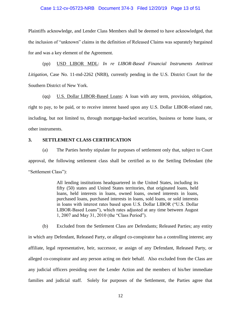#### Case 1:12-cv-05723-NRB Document 374-3 Filed 12/20/19 Page 13 of 51

Plaintiffs acknowledge, and Lender Class Members shall be deemed to have acknowledged, that the inclusion of "unknown" claims in the definition of Released Claims was separately bargained for and was a key element of the Agreement.

(pp) USD LIBOR MDL: *In re LIBOR-Based Financial Instruments Antitrust Litigation*, Case No. 11-md-2262 (NRB), currently pending in the U.S. District Court for the Southern District of New York.

(qq) U.S. Dollar LIBOR-Based Loans: A loan with any term, provision, obligation, right to pay, to be paid, or to receive interest based upon any U.S. Dollar LIBOR-related rate, including, but not limited to, through mortgage-backed securities, business or home loans, or other instruments.

# **3. SETTLEMENT CLASS CERTIFICATION**

(a) The Parties hereby stipulate for purposes of settlement only that, subject to Court approval, the following settlement class shall be certified as to the Settling Defendant (the "Settlement Class"):

> All lending institutions headquartered in the United States, including its fifty (50) states and United States territories, that originated loans, held loans, held interests in loans, owned loans, owned interests in loans, purchased loans, purchased interests in loans, sold loans, or sold interests in loans with interest rates based upon U.S. Dollar LIBOR ("U.S. Dollar LIBOR-Based Loans"), which rates adjusted at any time between August 1, 2007 and May 31, 2010 (the "Class Period").

(b) Excluded from the Settlement Class are Defendants; Released Parties; any entity in which any Defendant, Released Party, or alleged co-conspirator has a controlling interest; any affiliate, legal representative, heir, successor, or assign of any Defendant, Released Party, or alleged co-conspirator and any person acting on their behalf. Also excluded from the Class are any judicial officers presiding over the Lender Action and the members of his/her immediate families and judicial staff. Solely for purposes of the Settlement, the Parties agree that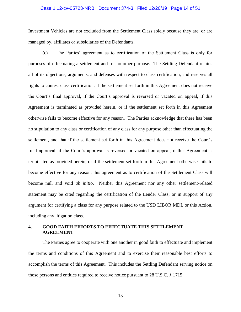#### Case 1:12-cv-05723-NRB Document 374-3 Filed 12/20/19 Page 14 of 51

Investment Vehicles are not excluded from the Settlement Class solely because they are, or are managed by, affiliates or subsidiaries of the Defendants.

(c) The Parties' agreement as to certification of the Settlement Class is only for purposes of effectuating a settlement and for no other purpose. The Settling Defendant retains all of its objections, arguments, and defenses with respect to class certification, and reserves all rights to contest class certification, if the settlement set forth in this Agreement does not receive the Court's final approval, if the Court's approval is reversed or vacated on appeal, if this Agreement is terminated as provided herein, or if the settlement set forth in this Agreement otherwise fails to become effective for any reason. The Parties acknowledge that there has been no stipulation to any class or certification of any class for any purpose other than effectuating the settlement, and that if the settlement set forth in this Agreement does not receive the Court's final approval, if the Court's approval is reversed or vacated on appeal, if this Agreement is terminated as provided herein, or if the settlement set forth in this Agreement otherwise fails to become effective for any reason, this agreement as to certification of the Settlement Class will become null and void *ab initio*. Neither this Agreement nor any other settlement-related statement may be cited regarding the certification of the Lender Class, or in support of any argument for certifying a class for any purpose related to the USD LIBOR MDL or this Action, including any litigation class.

# **4. GOOD FAITH EFFORTS TO EFFECTUATE THIS SETTLEMENT AGREEMENT**

The Parties agree to cooperate with one another in good faith to effectuate and implement the terms and conditions of this Agreement and to exercise their reasonable best efforts to accomplish the terms of this Agreement. This includes the Settling Defendant serving notice on those persons and entities required to receive notice pursuant to 28 U.S.C. § 1715.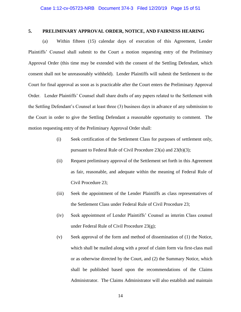### **5. PRELIMINARY APPROVAL ORDER, NOTICE, AND FAIRNESS HEARING**

(a) Within fifteen (15) calendar days of execution of this Agreement, Lender Plaintiffs' Counsel shall submit to the Court a motion requesting entry of the Preliminary Approval Order (this time may be extended with the consent of the Settling Defendant, which consent shall not be unreasonably withheld). Lender Plaintiffs will submit the Settlement to the Court for final approval as soon as is practicable after the Court enters the Preliminary Approval Order. Lender Plaintiffs' Counsel shall share drafts of any papers related to the Settlement with the Settling Defendant's Counsel at least three (3) business days in advance of any submission to the Court in order to give the Settling Defendant a reasonable opportunity to comment. The motion requesting entry of the Preliminary Approval Order shall:

- (i) Seek certification of the Settlement Class for purposes of settlement only, pursuant to Federal Rule of Civil Procedure 23(a) and 23(b)(3);
- (ii) Request preliminary approval of the Settlement set forth in this Agreement as fair, reasonable, and adequate within the meaning of Federal Rule of Civil Procedure 23;
- (iii) Seek the appointment of the Lender Plaintiffs as class representatives of the Settlement Class under Federal Rule of Civil Procedure 23;
- (iv) Seek appointment of Lender Plaintiffs' Counsel as interim Class counsel under Federal Rule of Civil Procedure 23(g);
- (v) Seek approval of the form and method of dissemination of (1) the Notice, which shall be mailed along with a proof of claim form via first-class mail or as otherwise directed by the Court, and (2) the Summary Notice, which shall be published based upon the recommendations of the Claims Administrator. The Claims Administrator will also establish and maintain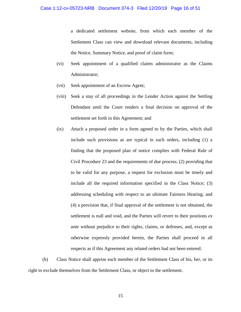a dedicated settlement website, from which each member of the Settlement Class can view and download relevant documents, including the Notice, Summary Notice, and proof of claim form;

- (vi) Seek appointment of a qualified claims administrator as the Claims Administrator;
- (vii) Seek appointment of an Escrow Agent;
- (viii) Seek a stay of all proceedings in the Lender Action against the Settling Defendant until the Court renders a final decision on approval of the settlement set forth in this Agreement; and
- (ix) Attach a proposed order in a form agreed to by the Parties, which shall include such provisions as are typical in such orders, including (1) a finding that the proposed plan of notice complies with Federal Rule of Civil Procedure 23 and the requirements of due process; (2) providing that to be valid for any purpose, a request for exclusion must be timely and include all the required information specified in the Class Notice; (3) addressing scheduling with respect to an ultimate Fairness Hearing; and (4) a provision that, if final approval of the settlement is not obtained, the settlement is null and void, and the Parties will revert to their positions *ex ante* without prejudice to their rights, claims, or defenses, and, except as otherwise expressly provided herein, the Parties shall proceed in all respects as if this Agreement any related orders had not been entered.

(b) Class Notice shall apprise each member of the Settlement Class of his, her, or its right to exclude themselves from the Settlement Class, or object to the settlement.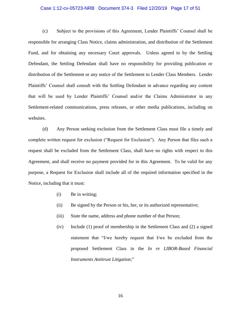#### Case 1:12-cv-05723-NRB Document 374-3 Filed 12/20/19 Page 17 of 51

(c) Subject to the provisions of this Agreement, Lender Plaintiffs' Counsel shall be responsible for arranging Class Notice, claims administration, and distribution of the Settlement Fund, and for obtaining any necessary Court approvals. Unless agreed to by the Settling Defendant, the Settling Defendant shall have no responsibility for providing publication or distribution of the Settlement or any notice of the Settlement to Lender Class Members. Lender Plaintiffs' Counsel shall consult with the Settling Defendant in advance regarding any content that will be used by Lender Plaintiffs' Counsel and/or the Claims Administrator in any Settlement-related communications, press releases, or other media publications, including on websites.

(d) Any Person seeking exclusion from the Settlement Class must file a timely and complete written request for exclusion ("Request for Exclusion"). Any Person that files such a request shall be excluded from the Settlement Class, shall have no rights with respect to this Agreement, and shall receive no payment provided for in this Agreement. To be valid for any purpose, a Request for Exclusion shall include all of the required information specified in the Notice, including that it must:

- (i) Be in writing;
- (ii) Be signed by the Person or his, her, or its authorized representative;
- (iii) State the name, address and phone number of that Person;
- (iv) Include (1) proof of membership in the Settlement Class and (2) a signed statement that "I/we hereby request that I/we be excluded from the proposed Settlement Class in the *In re LIBOR-Based Financial Instruments Antitrust Litigation*;"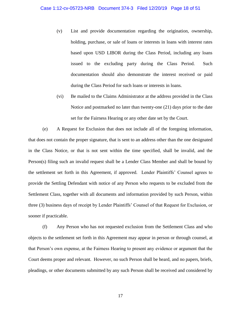- (v) List and provide documentation regarding the origination, ownership, holding, purchase, or sale of loans or interests in loans with interest rates based upon USD LIBOR during the Class Period, including any loans issued to the excluding party during the Class Period. Such documentation should also demonstrate the interest received or paid during the Class Period for such loans or interests in loans.
- (vi) Be mailed to the Claims Administrator at the address provided in the Class Notice and postmarked no later than twenty-one (21) days prior to the date set for the Fairness Hearing or any other date set by the Court.

(e) A Request for Exclusion that does not include all of the foregoing information, that does not contain the proper signature, that is sent to an address other than the one designated in the Class Notice, or that is not sent within the time specified, shall be invalid, and the Person(s) filing such an invalid request shall be a Lender Class Member and shall be bound by the settlement set forth in this Agreement, if approved. Lender Plaintiffs' Counsel agrees to provide the Settling Defendant with notice of any Person who requests to be excluded from the Settlement Class, together with all documents and information provided by such Person, within three (3) business days of receipt by Lender Plaintiffs' Counsel of that Request for Exclusion, or sooner if practicable.

(f) Any Person who has not requested exclusion from the Settlement Class and who objects to the settlement set forth in this Agreement may appear in person or through counsel, at that Person's own expense, at the Fairness Hearing to present any evidence or argument that the Court deems proper and relevant. However, no such Person shall be heard, and no papers, briefs, pleadings, or other documents submitted by any such Person shall be received and considered by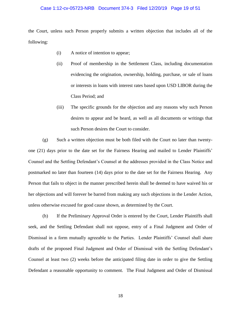#### Case 1:12-cv-05723-NRB Document 374-3 Filed 12/20/19 Page 19 of 51

the Court, unless such Person properly submits a written objection that includes all of the following:

- (i) A notice of intention to appear;
- (ii) Proof of membership in the Settlement Class, including documentation evidencing the origination, ownership, holding, purchase, or sale of loans or interests in loans with interest rates based upon USD LIBOR during the Class Period; and
- (iii) The specific grounds for the objection and any reasons why such Person desires to appear and be heard, as well as all documents or writings that such Person desires the Court to consider.

(g) Such a written objection must be both filed with the Court no later than twentyone (21) days prior to the date set for the Fairness Hearing and mailed to Lender Plaintiffs' Counsel and the Settling Defendant's Counsel at the addresses provided in the Class Notice and postmarked no later than fourteen (14) days prior to the date set for the Fairness Hearing. Any Person that fails to object in the manner prescribed herein shall be deemed to have waived his or her objections and will forever be barred from making any such objections in the Lender Action, unless otherwise excused for good cause shown, as determined by the Court.

(h) If the Preliminary Approval Order is entered by the Court, Lender Plaintiffs shall seek, and the Settling Defendant shall not oppose, entry of a Final Judgment and Order of Dismissal in a form mutually agreeable to the Parties. Lender Plaintiffs' Counsel shall share drafts of the proposed Final Judgment and Order of Dismissal with the Settling Defendant's Counsel at least two (2) weeks before the anticipated filing date in order to give the Settling Defendant a reasonable opportunity to comment. The Final Judgment and Order of Dismissal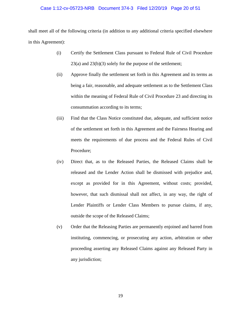#### Case 1:12-cv-05723-NRB Document 374-3 Filed 12/20/19 Page 20 of 51

shall meet all of the following criteria (in addition to any additional criteria specified elsewhere in this Agreement):

- (i) Certify the Settlement Class pursuant to Federal Rule of Civil Procedure 23(a) and 23(b)(3) solely for the purpose of the settlement;
- (ii) Approve finally the settlement set forth in this Agreement and its terms as being a fair, reasonable, and adequate settlement as to the Settlement Class within the meaning of Federal Rule of Civil Procedure 23 and directing its consummation according to its terms;
- (iii) Find that the Class Notice constituted due, adequate, and sufficient notice of the settlement set forth in this Agreement and the Fairness Hearing and meets the requirements of due process and the Federal Rules of Civil Procedure;
- (iv) Direct that, as to the Released Parties, the Released Claims shall be released and the Lender Action shall be dismissed with prejudice and, except as provided for in this Agreement, without costs; provided, however, that such dismissal shall not affect, in any way, the right of Lender Plaintiffs or Lender Class Members to pursue claims, if any, outside the scope of the Released Claims;
- (v) Order that the Releasing Parties are permanently enjoined and barred from instituting, commencing, or prosecuting any action, arbitration or other proceeding asserting any Released Claims against any Released Party in any jurisdiction;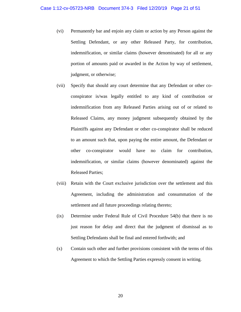- (vi) Permanently bar and enjoin any claim or action by any Person against the Settling Defendant, or any other Released Party, for contribution, indemnification, or similar claims (however denominated) for all or any portion of amounts paid or awarded in the Action by way of settlement, judgment, or otherwise;
- (vii) Specify that should any court determine that any Defendant or other coconspirator is/was legally entitled to any kind of contribution or indemnification from any Released Parties arising out of or related to Released Claims, any money judgment subsequently obtained by the Plaintiffs against any Defendant or other co-conspirator shall be reduced to an amount such that, upon paying the entire amount, the Defendant or other co-conspirator would have no claim for contribution, indemnification, or similar claims (however denominated) against the Released Parties;
- (viii) Retain with the Court exclusive jurisdiction over the settlement and this Agreement, including the administration and consummation of the settlement and all future proceedings relating thereto;
- (ix) Determine under Federal Rule of Civil Procedure 54(b) that there is no just reason for delay and direct that the judgment of dismissal as to Settling Defendants shall be final and entered forthwith; and
- (x) Contain such other and further provisions consistent with the terms of this Agreement to which the Settling Parties expressly consent in writing.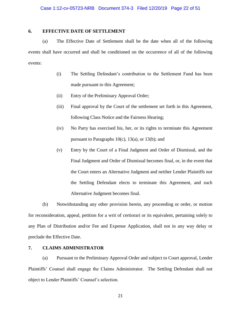# **6. EFFECTIVE DATE OF SETTLEMENT**

(a) The Effective Date of Settlement shall be the date when all of the following events shall have occurred and shall be conditioned on the occurrence of all of the following events:

- (i) The Settling Defendant's contribution to the Settlement Fund has been made pursuant to this Agreement;
- (ii) Entry of the Preliminary Approval Order;
- (iii) Final approval by the Court of the settlement set forth in this Agreement, following Class Notice and the Fairness Hearing;
- (iv) No Party has exercised his, her, or its rights to terminate this Agreement pursuant to Paragraphs  $10(c)$ ,  $13(a)$ , or  $13(b)$ ; and
- (v) Entry by the Court of a Final Judgment and Order of Dismissal, and the Final Judgment and Order of Dismissal becomes final, or, in the event that the Court enters an Alternative Judgment and neither Lender Plaintiffs nor the Settling Defendant elects to terminate this Agreement, and such Alternative Judgment becomes final.

(b) Notwithstanding any other provision herein, any proceeding or order, or motion for reconsideration, appeal, petition for a writ of certiorari or its equivalent, pertaining solely to any Plan of Distribution and/or Fee and Expense Application, shall not in any way delay or preclude the Effective Date.

# **7. CLAIMS ADMINISTRATOR**

(a) Pursuant to the Preliminary Approval Order and subject to Court approval, Lender Plaintiffs' Counsel shall engage the Claims Administrator. The Settling Defendant shall not object to Lender Plaintiffs' Counsel's selection.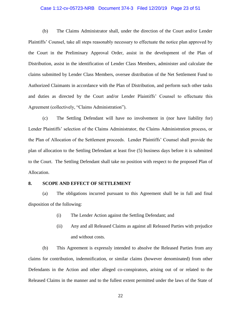#### Case 1:12-cv-05723-NRB Document 374-3 Filed 12/20/19 Page 23 of 51

(b) The Claims Administrator shall, under the direction of the Court and/or Lender Plaintiffs' Counsel, take all steps reasonably necessary to effectuate the notice plan approved by the Court in the Preliminary Approval Order, assist in the development of the Plan of Distribution, assist in the identification of Lender Class Members, administer and calculate the claims submitted by Lender Class Members, oversee distribution of the Net Settlement Fund to Authorized Claimants in accordance with the Plan of Distribution, and perform such other tasks and duties as directed by the Court and/or Lender Plaintiffs' Counsel to effectuate this Agreement (collectively, "Claims Administration").

(c) The Settling Defendant will have no involvement in (nor have liability for) Lender Plaintiffs' selection of the Claims Administrator, the Claims Administration process, or the Plan of Allocation of the Settlement proceeds. Lender Plaintiffs' Counsel shall provide the plan of allocation to the Settling Defendant at least five (5) business days before it is submitted to the Court. The Settling Defendant shall take no position with respect to the proposed Plan of Allocation.

#### **8. SCOPE AND EFFECT OF SETTLEMENT**

(a) The obligations incurred pursuant to this Agreement shall be in full and final disposition of the following:

- (i) The Lender Action against the Settling Defendant; and
- (ii) Any and all Released Claims as against all Released Parties with prejudice and without costs.

(b) This Agreement is expressly intended to absolve the Released Parties from any claims for contribution, indemnification, or similar claims (however denominated) from other Defendants in the Action and other alleged co-conspirators, arising out of or related to the Released Claims in the manner and to the fullest extent permitted under the laws of the State of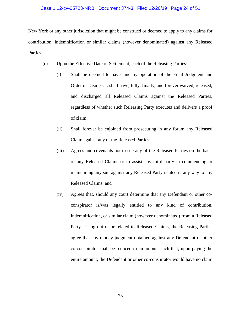#### Case 1:12-cv-05723-NRB Document 374-3 Filed 12/20/19 Page 24 of 51

New York or any other jurisdiction that might be construed or deemed to apply to any claims for contribution, indemnification or similar claims (however denominated) against any Released Parties.

- (c) Upon the Effective Date of Settlement, each of the Releasing Parties:
	- (i) Shall be deemed to have, and by operation of the Final Judgment and Order of Dismissal, shall have, fully, finally, and forever waived, released, and discharged all Released Claims against the Released Parties, regardless of whether such Releasing Party executes and delivers a proof of claim;
	- (ii) Shall forever be enjoined from prosecuting in any forum any Released Claim against any of the Released Parties;
	- (iii) Agrees and covenants not to sue any of the Released Parties on the basis of any Released Claims or to assist any third party in commencing or maintaining any suit against any Released Party related in any way to any Released Claims; and
	- (iv) Agrees that, should any court determine that any Defendant or other coconspirator is/was legally entitled to any kind of contribution, indemnification, or similar claim (however denominated) from a Released Party arising out of or related to Released Claims, the Releasing Parties agree that any money judgment obtained against any Defendant or other co-conspirator shall be reduced to an amount such that, upon paying the entire amount, the Defendant or other co-conspirator would have no claim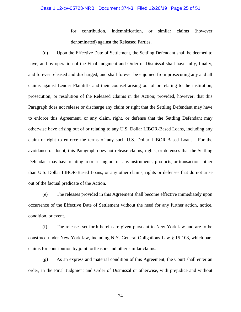# Case 1:12-cv-05723-NRB Document 374-3 Filed 12/20/19 Page 25 of 51

for contribution, indemnification, or similar claims (however denominated) against the Released Parties.

(d) Upon the Effective Date of Settlement, the Settling Defendant shall be deemed to have, and by operation of the Final Judgment and Order of Dismissal shall have fully, finally, and forever released and discharged, and shall forever be enjoined from prosecuting any and all claims against Lender Plaintiffs and their counsel arising out of or relating to the institution, prosecution, or resolution of the Released Claims in the Action; provided, however, that this Paragraph does not release or discharge any claim or right that the Settling Defendant may have to enforce this Agreement, or any claim, right, or defense that the Settling Defendant may otherwise have arising out of or relating to any U.S. Dollar LIBOR-Based Loans, including any claim or right to enforce the terms of any such U.S. Dollar LIBOR-Based Loans. For the avoidance of doubt, this Paragraph does not release claims, rights, or defenses that the Settling Defendant may have relating to or arising out of any instruments, products, or transactions other than U.S. Dollar LIBOR-Based Loans, or any other claims, rights or defenses that do not arise out of the factual predicate of the Action.

(e) The releases provided in this Agreement shall become effective immediately upon occurrence of the Effective Date of Settlement without the need for any further action, notice, condition, or event.

(f) The releases set forth herein are given pursuant to New York law and are to be construed under New York law, including N.Y. General Obligations Law § 15-108, which bars claims for contribution by joint tortfeasors and other similar claims.

(g) As an express and material condition of this Agreement, the Court shall enter an order, in the Final Judgment and Order of Dismissal or otherwise, with prejudice and without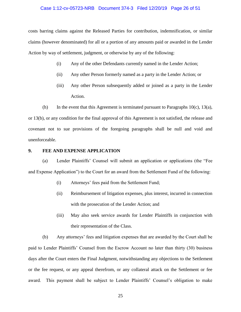#### Case 1:12-cv-05723-NRB Document 374-3 Filed 12/20/19 Page 26 of 51

costs barring claims against the Released Parties for contribution, indemnification, or similar claims (however denominated) for all or a portion of any amounts paid or awarded in the Lender Action by way of settlement, judgment, or otherwise by any of the following:

- (i) Any of the other Defendants currently named in the Lender Action;
- (ii) Any other Person formerly named as a party in the Lender Action; or
- (iii) Any other Person subsequently added or joined as a party in the Lender Action.

(h) In the event that this Agreement is terminated pursuant to Paragraphs  $10(c)$ ,  $13(a)$ , or 13(b), or any condition for the final approval of this Agreement is not satisfied, the release and covenant not to sue provisions of the foregoing paragraphs shall be null and void and unenforceable.

#### **9. FEE AND EXPENSE APPLICATION**

(a) Lender Plaintiffs' Counsel will submit an application or applications (the "Fee and Expense Application") to the Court for an award from the Settlement Fund of the following:

- (i) Attorneys' fees paid from the Settlement Fund;
- (ii) Reimbursement of litigation expenses, plus interest, incurred in connection with the prosecution of the Lender Action; and
- (iii) May also seek service awards for Lender Plaintiffs in conjunction with their representation of the Class.

(b) Any attorneys' fees and litigation expenses that are awarded by the Court shall be paid to Lender Plaintiffs' Counsel from the Escrow Account no later than thirty (30) business days after the Court enters the Final Judgment, notwithstanding any objections to the Settlement or the fee request, or any appeal therefrom, or any collateral attack on the Settlement or fee award. This payment shall be subject to Lender Plaintiffs' Counsel's obligation to make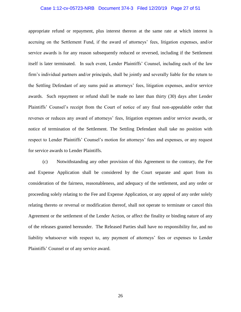#### Case 1:12-cv-05723-NRB Document 374-3 Filed 12/20/19 Page 27 of 51

appropriate refund or repayment, plus interest thereon at the same rate at which interest is accruing on the Settlement Fund, if the award of attorneys' fees, litigation expenses, and/or service awards is for any reason subsequently reduced or reversed, including if the Settlement itself is later terminated. In such event, Lender Plaintiffs' Counsel, including each of the law firm's individual partners and/or principals, shall be jointly and severally liable for the return to the Settling Defendant of any sums paid as attorneys' fees, litigation expenses, and/or service awards. Such repayment or refund shall be made no later than thirty (30) days after Lender Plaintiffs' Counsel's receipt from the Court of notice of any final non-appealable order that reverses or reduces any award of attorneys' fees, litigation expenses and/or service awards, or notice of termination of the Settlement. The Settling Defendant shall take no position with respect to Lender Plaintiffs' Counsel's motion for attorneys' fees and expenses, or any request for service awards to Lender Plaintiffs.

(c) Notwithstanding any other provision of this Agreement to the contrary, the Fee and Expense Application shall be considered by the Court separate and apart from its consideration of the fairness, reasonableness, and adequacy of the settlement, and any order or proceeding solely relating to the Fee and Expense Application, or any appeal of any order solely relating thereto or reversal or modification thereof, shall not operate to terminate or cancel this Agreement or the settlement of the Lender Action, or affect the finality or binding nature of any of the releases granted hereunder. The Released Parties shall have no responsibility for, and no liability whatsoever with respect to, any payment of attorneys' fees or expenses to Lender Plaintiffs' Counsel or of any service award.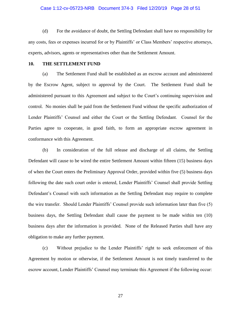#### Case 1:12-cv-05723-NRB Document 374-3 Filed 12/20/19 Page 28 of 51

(d) For the avoidance of doubt, the Settling Defendant shall have no responsibility for any costs, fees or expenses incurred for or by Plaintiffs' or Class Members' respective attorneys, experts, advisors, agents or representatives other than the Settlement Amount.

## **10. THE SETTLEMENT FUND**

(a) The Settlement Fund shall be established as an escrow account and administered by the Escrow Agent, subject to approval by the Court. The Settlement Fund shall be administered pursuant to this Agreement and subject to the Court's continuing supervision and control. No monies shall be paid from the Settlement Fund without the specific authorization of Lender Plaintiffs' Counsel and either the Court or the Settling Defendant. Counsel for the Parties agree to cooperate, in good faith, to form an appropriate escrow agreement in conformance with this Agreement.

(b) In consideration of the full release and discharge of all claims, the Settling Defendant will cause to be wired the entire Settlement Amount within fifteen (15) business days of when the Court enters the Preliminary Approval Order, provided within five (5) business days following the date such court order is entered, Lender Plaintiffs' Counsel shall provide Settling Defendant's Counsel with such information as the Settling Defendant may require to complete the wire transfer. Should Lender Plaintiffs' Counsel provide such information later than five (5) business days, the Settling Defendant shall cause the payment to be made within ten (10) business days after the information is provided. None of the Released Parties shall have any obligation to make any further payment.

(c) Without prejudice to the Lender Plaintiffs' right to seek enforcement of this Agreement by motion or otherwise, if the Settlement Amount is not timely transferred to the escrow account, Lender Plaintiffs' Counsel may terminate this Agreement if the following occur: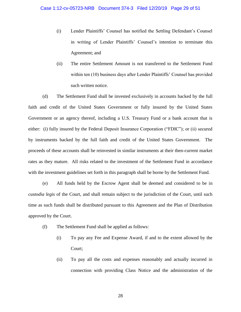- (i) Lender Plaintiffs' Counsel has notified the Settling Defendant's Counsel in writing of Lender Plaintiffs' Counsel's intention to terminate this Agreement; and
- (ii) The entire Settlement Amount is not transferred to the Settlement Fund within ten (10) business days after Lender Plaintiffs' Counsel has provided such written notice.

(d) The Settlement Fund shall be invested exclusively in accounts backed by the full faith and credit of the United States Government or fully insured by the United States Government or an agency thereof, including a U.S. Treasury Fund or a bank account that is either: (i) fully insured by the Federal Deposit Insurance Corporation ("FDIC"); or (ii) secured by instruments backed by the full faith and credit of the United States Government. The proceeds of these accounts shall be reinvested in similar instruments at their then-current market rates as they mature. All risks related to the investment of the Settlement Fund in accordance with the investment guidelines set forth in this paragraph shall be borne by the Settlement Fund.

(e) All funds held by the Escrow Agent shall be deemed and considered to be in *custodia legis* of the Court, and shall remain subject to the jurisdiction of the Court, until such time as such funds shall be distributed pursuant to this Agreement and the Plan of Distribution approved by the Court.

- (f) The Settlement Fund shall be applied as follows:
	- (i) To pay any Fee and Expense Award, if and to the extent allowed by the Court;
	- (ii) To pay all the costs and expenses reasonably and actually incurred in connection with providing Class Notice and the administration of the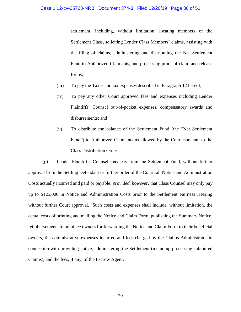settlement, including, without limitation, locating members of the Settlement Class, soliciting Lender Class Members' claims, assisting with the filing of claims, administering and distributing the Net Settlement Fund to Authorized Claimants, and processing proof of claim and release forms;

- (iii) To pay the Taxes and tax expenses described in Paragraph 12 hereof;
- (iv) To pay any other Court approved fees and expenses including Lender Plaintiffs' Counsel out-of-pocket expenses, compensatory awards and disbursements; and
- (v) To distribute the balance of the Settlement Fund (the "Net Settlement Fund") to Authorized Claimants as allowed by the Court pursuant to the Class Distribution Order.

(g) Lender Plaintiffs' Counsel may pay from the Settlement Fund, without further approval from the Settling Defendant or further order of the Court, all Notice and Administration Costs actually incurred and paid or payable; *provided, however*, that Class Counsel may only pay up to \$125,000 in Notice and Administration Costs prior to the Settlement Fairness Hearing without further Court approval. Such costs and expenses shall include, without limitation, the actual costs of printing and mailing the Notice and Claim Form, publishing the Summary Notice, reimbursements to nominee owners for forwarding the Notice and Claim Form to their beneficial owners, the administrative expenses incurred and fees charged by the Claims Administrator in connection with providing notice, administering the Settlement (including processing submitted Claims), and the fees, if any, of the Escrow Agent.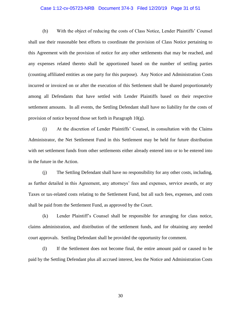#### Case 1:12-cv-05723-NRB Document 374-3 Filed 12/20/19 Page 31 of 51

(h) With the object of reducing the costs of Class Notice, Lender Plaintiffs' Counsel shall use their reasonable best efforts to coordinate the provision of Class Notice pertaining to this Agreement with the provision of notice for any other settlements that may be reached, and any expenses related thereto shall be apportioned based on the number of settling parties (counting affiliated entities as one party for this purpose). Any Notice and Administration Costs incurred or invoiced on or after the execution of this Settlement shall be shared proportionately among all Defendants that have settled with Lender Plaintiffs based on their respective settlement amounts. In all events, the Settling Defendant shall have no liability for the costs of provision of notice beyond those set forth in Paragraph 10(g).

(i) At the discretion of Lender Plaintiffs' Counsel, in consultation with the Claims Administrator, the Net Settlement Fund in this Settlement may be held for future distribution with net settlement funds from other settlements either already entered into or to be entered into in the future in the Action.

(j) The Settling Defendant shall have no responsibility for any other costs, including, as further detailed in this Agreement, any attorneys' fees and expenses, service awards, or any Taxes or tax-related costs relating to the Settlement Fund, but all such fees, expenses, and costs shall be paid from the Settlement Fund, as approved by the Court.

(k) Lender Plaintiff's Counsel shall be responsible for arranging for class notice, claims administration, and distribution of the settlement funds, and for obtaining any needed court approvals. Settling Defendant shall be provided the opportunity for comment.

(l) If the Settlement does not become final, the entire amount paid or caused to be paid by the Settling Defendant plus all accrued interest, less the Notice and Administration Costs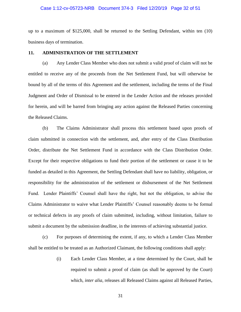#### Case 1:12-cv-05723-NRB Document 374-3 Filed 12/20/19 Page 32 of 51

up to a maximum of \$125,000, shall be returned to the Settling Defendant, within ten (10) business days of termination.

#### **11. ADMINISTRATION OF THE SETTLEMENT**

(a) Any Lender Class Member who does not submit a valid proof of claim will not be entitled to receive any of the proceeds from the Net Settlement Fund, but will otherwise be bound by all of the terms of this Agreement and the settlement, including the terms of the Final Judgment and Order of Dismissal to be entered in the Lender Action and the releases provided for herein, and will be barred from bringing any action against the Released Parties concerning the Released Claims.

(b) The Claims Administrator shall process this settlement based upon proofs of claim submitted in connection with the settlement, and, after entry of the Class Distribution Order, distribute the Net Settlement Fund in accordance with the Class Distribution Order. Except for their respective obligations to fund their portion of the settlement or cause it to be funded as detailed in this Agreement, the Settling Defendant shall have no liability, obligation, or responsibility for the administration of the settlement or disbursement of the Net Settlement Fund. Lender Plaintiffs' Counsel shall have the right, but not the obligation, to advise the Claims Administrator to waive what Lender Plaintiffs' Counsel reasonably deems to be formal or technical defects in any proofs of claim submitted, including, without limitation, failure to submit a document by the submission deadline, in the interests of achieving substantial justice.

(c) For purposes of determining the extent, if any, to which a Lender Class Member shall be entitled to be treated as an Authorized Claimant, the following conditions shall apply:

> (i) Each Lender Class Member, at a time determined by the Court, shall be required to submit a proof of claim (as shall be approved by the Court) which, *inter alia*, releases all Released Claims against all Released Parties,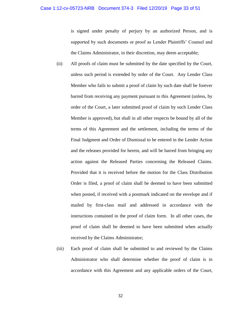is signed under penalty of perjury by an authorized Person, and is supported by such documents or proof as Lender Plaintiffs' Counsel and the Claims Administrator, in their discretion, may deem acceptable;

- (ii) All proofs of claim must be submitted by the date specified by the Court, unless such period is extended by order of the Court. Any Lender Class Member who fails to submit a proof of claim by such date shall be forever barred from receiving any payment pursuant to this Agreement (unless, by order of the Court, a later submitted proof of claim by such Lender Class Member is approved), but shall in all other respects be bound by all of the terms of this Agreement and the settlement, including the terms of the Final Judgment and Order of Dismissal to be entered in the Lender Action and the releases provided for herein, and will be barred from bringing any action against the Released Parties concerning the Released Claims. Provided that it is received before the motion for the Class Distribution Order is filed, a proof of claim shall be deemed to have been submitted when posted, if received with a postmark indicated on the envelope and if mailed by first-class mail and addressed in accordance with the instructions contained in the proof of claim form. In all other cases, the proof of claim shall be deemed to have been submitted when actually received by the Claims Administrator;
- (iii) Each proof of claim shall be submitted to and reviewed by the Claims Administrator who shall determine whether the proof of claim is in accordance with this Agreement and any applicable orders of the Court,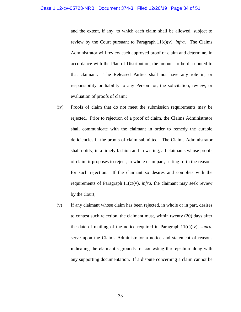and the extent, if any, to which each claim shall be allowed, subject to review by the Court pursuant to Paragraph  $11(c)(v)$ , *infra*. The Claims Administrator will review each approved proof of claim and determine, in accordance with the Plan of Distribution, the amount to be distributed to that claimant. The Released Parties shall not have any role in, or responsibility or liability to any Person for, the solicitation, review, or evaluation of proofs of claim;

- (iv) Proofs of claim that do not meet the submission requirements may be rejected. Prior to rejection of a proof of claim, the Claims Administrator shall communicate with the claimant in order to remedy the curable deficiencies in the proofs of claim submitted. The Claims Administrator shall notify, in a timely fashion and in writing, all claimants whose proofs of claim it proposes to reject, in whole or in part, setting forth the reasons for such rejection. If the claimant so desires and complies with the requirements of Paragraph  $11(c)(v)$ , *infra*, the claimant may seek review by the Court;
- (v) If any claimant whose claim has been rejected, in whole or in part, desires to contest such rejection, the claimant must, within twenty (20) days after the date of mailing of the notice required in Paragraph  $11(c)(iv)$ , *supra*, serve upon the Claims Administrator a notice and statement of reasons indicating the claimant's grounds for contesting the rejection along with any supporting documentation. If a dispute concerning a claim cannot be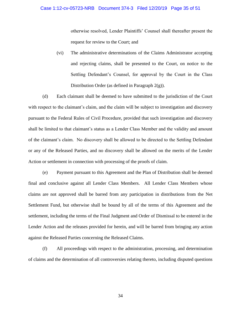#### Case 1:12-cv-05723-NRB Document 374-3 Filed 12/20/19 Page 35 of 51

otherwise resolved, Lender Plaintiffs' Counsel shall thereafter present the request for review to the Court; and

(vi) The administrative determinations of the Claims Administrator accepting and rejecting claims, shall be presented to the Court, on notice to the Settling Defendant's Counsel, for approval by the Court in the Class Distribution Order (as defined in Paragraph  $2(g)$ ).

(d) Each claimant shall be deemed to have submitted to the jurisdiction of the Court with respect to the claimant's claim, and the claim will be subject to investigation and discovery pursuant to the Federal Rules of Civil Procedure, provided that such investigation and discovery shall be limited to that claimant's status as a Lender Class Member and the validity and amount of the claimant's claim. No discovery shall be allowed to be directed to the Settling Defendant or any of the Released Parties, and no discovery shall be allowed on the merits of the Lender Action or settlement in connection with processing of the proofs of claim.

(e) Payment pursuant to this Agreement and the Plan of Distribution shall be deemed final and conclusive against all Lender Class Members. All Lender Class Members whose claims are not approved shall be barred from any participation in distributions from the Net Settlement Fund, but otherwise shall be bound by all of the terms of this Agreement and the settlement, including the terms of the Final Judgment and Order of Dismissal to be entered in the Lender Action and the releases provided for herein, and will be barred from bringing any action against the Released Parties concerning the Released Claims.

(f) All proceedings with respect to the administration, processing, and determination of claims and the determination of all controversies relating thereto, including disputed questions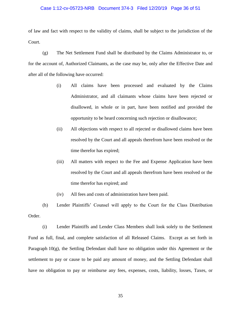#### Case 1:12-cv-05723-NRB Document 374-3 Filed 12/20/19 Page 36 of 51

of law and fact with respect to the validity of claims, shall be subject to the jurisdiction of the Court.

(g) The Net Settlement Fund shall be distributed by the Claims Administrator to, or for the account of, Authorized Claimants, as the case may be, only after the Effective Date and after all of the following have occurred:

- (i) All claims have been processed and evaluated by the Claims Administrator, and all claimants whose claims have been rejected or disallowed, in whole or in part, have been notified and provided the opportunity to be heard concerning such rejection or disallowance;
- (ii) All objections with respect to all rejected or disallowed claims have been resolved by the Court and all appeals therefrom have been resolved or the time therefor has expired;
- (iii) All matters with respect to the Fee and Expense Application have been resolved by the Court and all appeals therefrom have been resolved or the time therefor has expired; and
- (iv) All fees and costs of administration have been paid.

(h) Lender Plaintiffs' Counsel will apply to the Court for the Class Distribution Order.

(i) Lender Plaintiffs and Lender Class Members shall look solely to the Settlement Fund as full, final, and complete satisfaction of all Released Claims. Except as set forth in Paragraph  $10(g)$ , the Settling Defendant shall have no obligation under this Agreement or the settlement to pay or cause to be paid any amount of money, and the Settling Defendant shall have no obligation to pay or reimburse any fees, expenses, costs, liability, losses, Taxes, or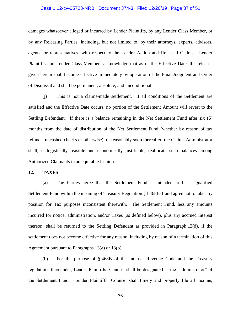#### Case 1:12-cv-05723-NRB Document 374-3 Filed 12/20/19 Page 37 of 51

damages whatsoever alleged or incurred by Lender Plaintiffs, by any Lender Class Member, or by any Releasing Parties, including, but not limited to, by their attorneys, experts, advisors, agents, or representatives, with respect to the Lender Action and Released Claims. Lender Plaintiffs and Lender Class Members acknowledge that as of the Effective Date, the releases given herein shall become effective immediately by operation of the Final Judgment and Order of Dismissal and shall be permanent, absolute, and unconditional.

(j) This is not a claims-made settlement. If all conditions of the Settlement are satisfied and the Effective Date occurs, no portion of the Settlement Amount will revert to the Settling Defendant. If there is a balance remaining in the Net Settlement Fund after six (6) months from the date of distribution of the Net Settlement Fund (whether by reason of tax refunds, uncashed checks or otherwise), or reasonably soon thereafter, the Claims Administrator shall, if logistically feasible and economically justifiable, reallocate such balances among Authorized Claimants in an equitable fashion.

#### **12. TAXES**

(a) The Parties agree that the Settlement Fund is intended to be a Qualified Settlement Fund within the meaning of Treasury Regulation § l.468B-1 and agree not to take any position for Tax purposes inconsistent therewith. The Settlement Fund, less any amounts incurred for notice, administration, and/or Taxes (as defined below), plus any accrued interest thereon, shall be returned to the Settling Defendant as provided in Paragraph 13(d), if the settlement does not become effective for any reason, including by reason of a termination of this Agreement pursuant to Paragraphs 13(a) or 13(b).

(b) For the purpose of § 468B of the Internal Revenue Code and the Treasury regulations thereunder, Lender Plaintiffs' Counsel shall be designated as the "administrator" of the Settlement Fund. Lender Plaintiffs' Counsel shall timely and properly file all income,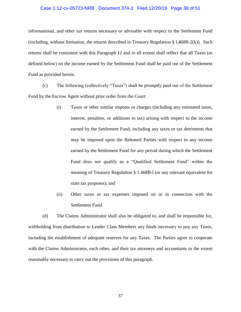#### Case 1:12-cv-05723-NRB Document 374-3 Filed 12/20/19 Page 38 of 51

informational, and other tax returns necessary or advisable with respect to the Settlement Fund (including, without limitation, the returns described in Treasury Regulation § l.468B-2(k)). Such returns shall be consistent with this Paragraph 12 and in all events shall reflect that all Taxes (as defined below) on the income earned by the Settlement Fund shall be paid out of the Settlement Fund as provided herein.

(c) The following (collectively "Taxes") shall be promptly paid out of the Settlement Fund by the Escrow Agent without prior order from the Court:

- (i) Taxes or other similar imposts or charges (including any estimated taxes, interest, penalties, or additions to tax) arising with respect to the income earned by the Settlement Fund, including any taxes or tax detriments that may be imposed upon the Released Parties with respect to any income earned by the Settlement Fund for any period during which the Settlement Fund does not qualify as a "Qualified Settlement Fund" within the meaning of Treasury Regulation § 1.468B-l (or any relevant equivalent for state tax purposes); and
- (ii) Other taxes or tax expenses imposed on or in connection with the Settlement Fund.

(d) The Claims Administrator shall also be obligated to, and shall be responsible for, withholding from distribution to Lender Class Members any funds necessary to pay any Taxes, including the establishment of adequate reserves for any Taxes. The Parties agree to cooperate with the Claims Administrator, each other, and their tax attorneys and accountants to the extent reasonably necessary to carry out the provisions of this paragraph.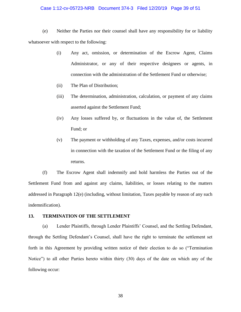#### Case 1:12-cv-05723-NRB Document 374-3 Filed 12/20/19 Page 39 of 51

(e) Neither the Parties nor their counsel shall have any responsibility for or liability whatsoever with respect to the following:

- (i) Any act, omission, or determination of the Escrow Agent, Claims Administrator, or any of their respective designees or agents, in connection with the administration of the Settlement Fund or otherwise;
- (ii) The Plan of Distribution;
- (iii) The determination, administration, calculation, or payment of any claims asserted against the Settlement Fund;
- (iv) Any losses suffered by, or fluctuations in the value of, the Settlement Fund; or
- (v) The payment or withholding of any Taxes, expenses, and/or costs incurred in connection with the taxation of the Settlement Fund or the filing of any returns.

(f) The Escrow Agent shall indemnify and hold harmless the Parties out of the Settlement Fund from and against any claims, liabilities, or losses relating to the matters addressed in Paragraph 12(e) (including, without limitation, Taxes payable by reason of any such indemnification).

# **13. TERMINATION OF THE SETTLEMENT**

(a) Lender Plaintiffs, through Lender Plaintiffs' Counsel, and the Settling Defendant, through the Settling Defendant's Counsel, shall have the right to terminate the settlement set forth in this Agreement by providing written notice of their election to do so ("Termination Notice") to all other Parties hereto within thirty (30) days of the date on which any of the following occur: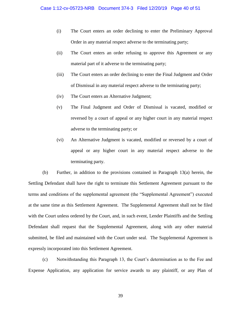- (i) The Court enters an order declining to enter the Preliminary Approval Order in any material respect adverse to the terminating party;
- (ii) The Court enters an order refusing to approve this Agreement or any material part of it adverse to the terminating party;
- (iii) The Court enters an order declining to enter the Final Judgment and Order of Dismissal in any material respect adverse to the terminating party;
- (iv) The Court enters an Alternative Judgment;
- (v) The Final Judgment and Order of Dismissal is vacated, modified or reversed by a court of appeal or any higher court in any material respect adverse to the terminating party; or
- (vi) An Alternative Judgment is vacated, modified or reversed by a court of appeal or any higher court in any material respect adverse to the terminating party.

(b) Further, in addition to the provisions contained in Paragraph 13(a) herein, the Settling Defendant shall have the right to terminate this Settlement Agreement pursuant to the terms and conditions of the supplemental agreement (the "Supplemental Agreement") executed at the same time as this Settlement Agreement. The Supplemental Agreement shall not be filed with the Court unless ordered by the Court, and, in such event, Lender Plaintiffs and the Settling Defendant shall request that the Supplemental Agreement, along with any other material submitted, be filed and maintained with the Court under seal. The Supplemental Agreement is expressly incorporated into this Settlement Agreement.

(c) Notwithstanding this Paragraph 13, the Court's determination as to the Fee and Expense Application, any application for service awards to any plaintiff, or any Plan of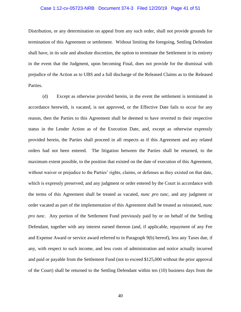#### Case 1:12-cv-05723-NRB Document 374-3 Filed 12/20/19 Page 41 of 51

Distribution, or any determination on appeal from any such order, shall not provide grounds for termination of this Agreement or settlement. Without limiting the foregoing, Settling Defendant shall have, in its sole and absolute discretion, the option to terminate the Settlement in its entirety in the event that the Judgment, upon becoming Final, does not provide for the dismissal with prejudice of the Action as to UBS and a full discharge of the Released Claims as to the Released Parties.

(d) Except as otherwise provided herein, in the event the settlement is terminated in accordance herewith, is vacated, is not approved, or the Effective Date fails to occur for any reason, then the Parties to this Agreement shall be deemed to have reverted to their respective status in the Lender Action as of the Execution Date, and, except as otherwise expressly provided herein, the Parties shall proceed in all respects as if this Agreement and any related orders had not been entered. The litigation between the Parties shall be returned, to the maximum extent possible, to the position that existed on the date of execution of this Agreement, without waiver or prejudice to the Parties' rights, claims, or defenses as they existed on that date, which is expressly preserved; and any judgment or order entered by the Court in accordance with the terms of this Agreement shall be treated as vacated, *nunc pro tunc,* and any judgment or order vacated as part of the implementation of this Agreement shall be treated as reinstated, *nunc pro tunc.* Any portion of the Settlement Fund previously paid by or on behalf of the Settling Defendant, together with any interest earned thereon (and, if applicable, repayment of any Fee and Expense Award or service award referred to in Paragraph 9(b) hereof), less any Taxes due, if any, with respect to such income, and less costs of administration and notice actually incurred and paid or payable from the Settlement Fund (not to exceed \$125,000 without the prior approval of the Court) shall be returned to the Settling Defendant within ten (10) business days from the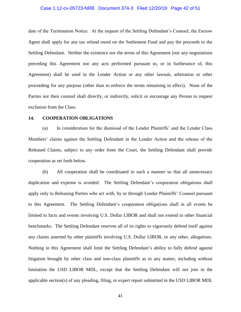#### Case 1:12-cv-05723-NRB Document 374-3 Filed 12/20/19 Page 42 of 51

date of the Termination Notice. At the request of the Settling Defendant's Counsel, the Escrow Agent shall apply for any tax refund owed on the Settlement Fund and pay the proceeds to the Settling Defendant. Neither the existence nor the terms of this Agreement (nor any negotiations preceding this Agreement nor any acts performed pursuant to, or in furtherance of, this Agreement) shall be used in the Lender Action or any other lawsuit, arbitration or other proceeding for any purpose (other than to enforce the terms remaining in effect). None of the Parties nor their counsel shall directly, or indirectly, solicit or encourage any Person to request exclusion from the Class.

## **14. COOPERATION OBLIGATIONS**

(a) In consideration for the dismissal of the Lender Plaintiffs' and the Lender Class Members' claims against the Settling Defendant in the Lender Action and the release of the Released Claims, subject to any order from the Court, the Settling Defendant shall provide cooperation as set forth below.

(b) All cooperation shall be coordinated in such a manner so that all unnecessary duplication and expense is avoided. The Settling Defendant's cooperation obligations shall apply only to Releasing Parties who act with, by or through Lender Plaintiffs' Counsel pursuant to this Agreement. The Settling Defendant's cooperation obligations shall in all events be limited to facts and events involving U.S. Dollar LIBOR and shall not extend to other financial benchmarks. The Settling Defendant reserves all of its rights to vigorously defend itself against any claims asserted by other plaintiffs involving U.S. Dollar LIBOR, or any other, allegations. Nothing in this Agreement shall limit the Settling Defendant's ability to fully defend against litigation brought by other class and non-class plaintiffs as to any matter, including without limitation the USD LIBOR MDL, except that the Settling Defendant will not join in the applicable section(s) of any pleading, filing, or expert report submitted in the USD LIBOR MDL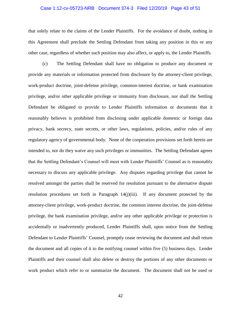#### Case 1:12-cv-05723-NRB Document 374-3 Filed 12/20/19 Page 43 of 51

that solely relate to the claims of the Lender Plaintiffs. For the avoidance of doubt, nothing in this Agreement shall preclude the Settling Defendant from taking any position in this or any other case, regardless of whether such position may also affect, or apply to, the Lender Plaintiffs.

(c) The Settling Defendant shall have no obligation to produce any document or provide any materials or information protected from disclosure by the attorney-client privilege, work-product doctrine, joint-defense privilege, common-interest doctrine, or bank examination privilege, and/or other applicable privilege or immunity from disclosure, nor shall the Settling Defendant be obligated to provide to Lender Plaintiffs information or documents that it reasonably believes is prohibited from disclosing under applicable domestic or foreign data privacy, bank secrecy, state secrets, or other laws, regulations, policies, and/or rules of any regulatory agency of governmental body. None of the cooperation provisions set forth herein are intended to, nor do they waive any such privileges or immunities. The Settling Defendant agrees that the Settling Defendant's Counsel will meet with Lender Plaintiffs' Counsel as is reasonably necessary to discuss any applicable privilege. Any disputes regarding privilege that cannot be resolved amongst the parties shall be reserved for resolution pursuant to the alternative dispute resolution procedures set forth in Paragraph 14(j)(iii). If any document protected by the attorney-client privilege, work-product doctrine, the common interest doctrine, the joint-defense privilege, the bank examination privilege, and/or any other applicable privilege or protection is accidentally or inadvertently produced, Lender Plaintiffs shall, upon notice from the Settling Defendant to Lender Plaintiffs' Counsel, promptly cease reviewing the document and shall return the document and all copies of it to the notifying counsel within five (5) business days. Lender Plaintiffs and their counsel shall also delete or destroy the portions of any other documents or work product which refer to or summarize the document. The document shall not be used or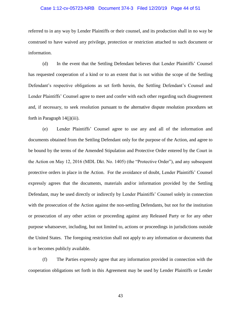#### Case 1:12-cv-05723-NRB Document 374-3 Filed 12/20/19 Page 44 of 51

referred to in any way by Lender Plaintiffs or their counsel, and its production shall in no way be construed to have waived any privilege, protection or restriction attached to such document or information.

(d) In the event that the Settling Defendant believes that Lender Plaintiffs' Counsel has requested cooperation of a kind or to an extent that is not within the scope of the Settling Defendant's respective obligations as set forth herein, the Settling Defendant's Counsel and Lender Plaintiffs' Counsel agree to meet and confer with each other regarding such disagreement and, if necessary, to seek resolution pursuant to the alternative dispute resolution procedures set forth in Paragraph 14(j)(iii).

(e) Lender Plaintiffs' Counsel agree to use any and all of the information and documents obtained from the Settling Defendant only for the purpose of the Action, and agree to be bound by the terms of the Amended Stipulation and Protective Order entered by the Court in the Action on May 12, 2016 (MDL Dkt. No. 1405) (the "Protective Order"), and any subsequent protective orders in place in the Action. For the avoidance of doubt, Lender Plaintiffs' Counsel expressly agrees that the documents, materials and/or information provided by the Settling Defendant, may be used directly or indirectly by Lender Plaintiffs' Counsel solely in connection with the prosecution of the Action against the non-settling Defendants, but not for the institution or prosecution of any other action or proceeding against any Released Party or for any other purpose whatsoever, including, but not limited to, actions or proceedings in jurisdictions outside the United States. The foregoing restriction shall not apply to any information or documents that is or becomes publicly available.

(f) The Parties expressly agree that any information provided in connection with the cooperation obligations set forth in this Agreement may be used by Lender Plaintiffs or Lender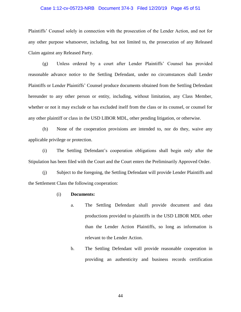#### Case 1:12-cv-05723-NRB Document 374-3 Filed 12/20/19 Page 45 of 51

Plaintiffs' Counsel solely in connection with the prosecution of the Lender Action, and not for any other purpose whatsoever, including, but not limited to, the prosecution of any Released Claim against any Released Party.

(g) Unless ordered by a court after Lender Plaintiffs' Counsel has provided reasonable advance notice to the Settling Defendant, under no circumstances shall Lender Plaintiffs or Lender Plaintiffs' Counsel produce documents obtained from the Settling Defendant hereunder to any other person or entity, including, without limitation, any Class Member, whether or not it may exclude or has excluded itself from the class or its counsel, or counsel for any other plaintiff or class in the USD LIBOR MDL, other pending litigation, or otherwise.

(h) None of the cooperation provisions are intended to, nor do they, waive any applicable privilege or protection.

(i) The Settling Defendant's cooperation obligations shall begin only after the Stipulation has been filed with the Court and the Court enters the Preliminarily Approved Order.

(j) Subject to the foregoing, the Settling Defendant will provide Lender Plaintiffs and the Settlement Class the following cooperation:

#### (i) **Documents:**

- a. The Settling Defendant shall provide document and data productions provided to plaintiffs in the USD LIBOR MDL other than the Lender Action Plaintiffs, so long as information is relevant to the Lender Action.
- b. The Settling Defendant will provide reasonable cooperation in providing an authenticity and business records certification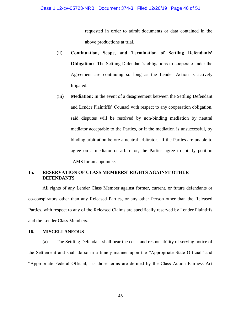requested in order to admit documents or data contained in the above productions at trial.

- (ii) **Continuation, Scope, and Termination of Settling Defendants' Obligation:** The Settling Defendant's obligations to cooperate under the Agreement are continuing so long as the Lender Action is actively litigated.
- (iii) **Mediation:** In the event of a disagreement between the Settling Defendant and Lender Plaintiffs' Counsel with respect to any cooperation obligation, said disputes will be resolved by non-binding mediation by neutral mediator acceptable to the Parties, or if the mediation is unsuccessful, by binding arbitration before a neutral arbitrator. If the Parties are unable to agree on a mediator or arbitrator, the Parties agree to jointly petition JAMS for an appointee.

# **15. RESERVATION OF CLASS MEMBERS' RIGHTS AGAINST OTHER DEFENDANTS**

All rights of any Lender Class Member against former, current, or future defendants or co-conspirators other than any Released Parties, or any other Person other than the Released Parties, with respect to any of the Released Claims are specifically reserved by Lender Plaintiffs and the Lender Class Members.

#### **16. MISCELLANEOUS**

(a) The Settling Defendant shall bear the costs and responsibility of serving notice of the Settlement and shall do so in a timely manner upon the "Appropriate State Official" and "Appropriate Federal Official," as those terms are defined by the Class Action Fairness Act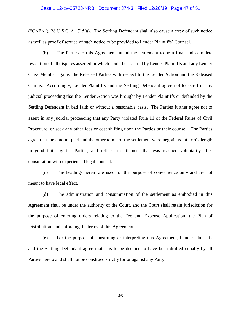#### Case 1:12-cv-05723-NRB Document 374-3 Filed 12/20/19 Page 47 of 51

("CAFA"), 28 U.S.C. § 1715(a). The Settling Defendant shall also cause a copy of such notice as well as proof of service of such notice to be provided to Lender Plaintiffs' Counsel.

(b) The Parties to this Agreement intend the settlement to be a final and complete resolution of all disputes asserted or which could be asserted by Lender Plaintiffs and any Lender Class Member against the Released Parties with respect to the Lender Action and the Released Claims. Accordingly, Lender Plaintiffs and the Settling Defendant agree not to assert in any judicial proceeding that the Lender Action was brought by Lender Plaintiffs or defended by the Settling Defendant in bad faith or without a reasonable basis. The Parties further agree not to assert in any judicial proceeding that any Party violated Rule 11 of the Federal Rules of Civil Procedure, or seek any other fees or cost shifting upon the Parties or their counsel. The Parties agree that the amount paid and the other terms of the settlement were negotiated at arm's length in good faith by the Parties, and reflect a settlement that was reached voluntarily after consultation with experienced legal counsel.

(c) The headings herein are used for the purpose of convenience only and are not meant to have legal effect.

(d) The administration and consummation of the settlement as embodied in this Agreement shall be under the authority of the Court, and the Court shall retain jurisdiction for the purpose of entering orders relating to the Fee and Expense Application, the Plan of Distribution, and enforcing the terms of this Agreement.

(e) For the purpose of construing or interpreting this Agreement, Lender Plaintiffs and the Settling Defendant agree that it is to be deemed to have been drafted equally by all Parties hereto and shall not be construed strictly for or against any Party.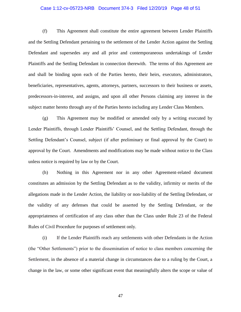#### Case 1:12-cv-05723-NRB Document 374-3 Filed 12/20/19 Page 48 of 51

(f) This Agreement shall constitute the entire agreement between Lender Plaintiffs and the Settling Defendant pertaining to the settlement of the Lender Action against the Settling Defendant and supersedes any and all prior and contemporaneous undertakings of Lender Plaintiffs and the Settling Defendant in connection therewith. The terms of this Agreement are and shall be binding upon each of the Parties hereto, their heirs, executors, administrators, beneficiaries, representatives, agents, attorneys, partners, successors to their business or assets, predecessors-in-interest, and assigns, and upon all other Persons claiming any interest in the subject matter hereto through any of the Parties hereto including any Lender Class Members.

(g) This Agreement may be modified or amended only by a writing executed by Lender Plaintiffs, through Lender Plaintiffs' Counsel, and the Settling Defendant, through the Settling Defendant's Counsel, subject (if after preliminary or final approval by the Court) to approval by the Court. Amendments and modifications may be made without notice to the Class unless notice is required by law or by the Court.

(h) Nothing in this Agreement nor in any other Agreement-related document constitutes an admission by the Settling Defendant as to the validity, infirmity or merits of the allegations made in the Lender Action, the liability or non-liability of the Settling Defendant, or the validity of any defenses that could be asserted by the Settling Defendant, or the appropriateness of certification of any class other than the Class under Rule 23 of the Federal Rules of Civil Procedure for purposes of settlement only.

(i) If the Lender Plaintiffs reach any settlements with other Defendants in the Action (the "Other Settlements") prior to the dissemination of notice to class members concerning the Settlement, in the absence of a material change in circumstances due to a ruling by the Court, a change in the law, or some other significant event that meaningfully alters the scope or value of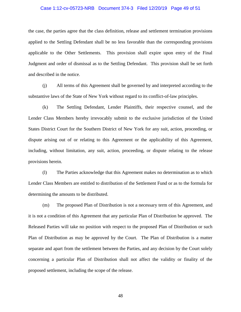#### Case 1:12-cv-05723-NRB Document 374-3 Filed 12/20/19 Page 49 of 51

the case, the parties agree that the class definition, release and settlement termination provisions applied to the Settling Defendant shall be no less favorable than the corresponding provisions applicable to the Other Settlements. This provision shall expire upon entry of the Final Judgment and order of dismissal as to the Settling Defendant. This provision shall be set forth and described in the notice.

(j) All terms of this Agreement shall be governed by and interpreted according to the substantive laws of the State of New York without regard to its conflict-of-law principles.

(k) The Settling Defendant, Lender Plaintiffs, their respective counsel, and the Lender Class Members hereby irrevocably submit to the exclusive jurisdiction of the United States District Court for the Southern District of New York for any suit, action, proceeding, or dispute arising out of or relating to this Agreement or the applicability of this Agreement, including, without limitation, any suit, action, proceeding, or dispute relating to the release provisions herein.

(l) The Parties acknowledge that this Agreement makes no determination as to which Lender Class Members are entitled to distribution of the Settlement Fund or as to the formula for determining the amounts to be distributed.

(m) The proposed Plan of Distribution is not a necessary term of this Agreement, and it is not a condition of this Agreement that any particular Plan of Distribution be approved. The Released Parties will take no position with respect to the proposed Plan of Distribution or such Plan of Distribution as may be approved by the Court. The Plan of Distribution is a matter separate and apart from the settlement between the Parties, and any decision by the Court solely concerning a particular Plan of Distribution shall not affect the validity or finality of the proposed settlement, including the scope of the release.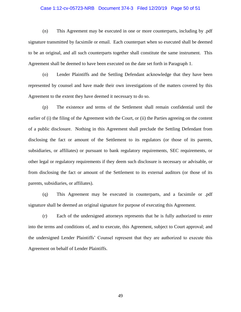#### Case 1:12-cv-05723-NRB Document 374-3 Filed 12/20/19 Page 50 of 51

(n) This Agreement may be executed in one or more counterparts, including by .pdf signature transmitted by facsimile or email. Each counterpart when so executed shall be deemed to be an original, and all such counterparts together shall constitute the same instrument. This Agreement shall be deemed to have been executed on the date set forth in Paragraph 1.

(o) Lender Plaintiffs and the Settling Defendant acknowledge that they have been represented by counsel and have made their own investigations of the matters covered by this Agreement to the extent they have deemed it necessary to do so.

(p) The existence and terms of the Settlement shall remain confidential until the earlier of (i) the filing of the Agreement with the Court, or (ii) the Parties agreeing on the content of a public disclosure. Nothing in this Agreement shall preclude the Settling Defendant from disclosing the fact or amount of the Settlement to its regulators (or those of its parents, subsidiaries, or affiliates) or pursuant to bank regulatory requirements, SEC requirements, or other legal or regulatory requirements if they deem such disclosure is necessary or advisable, or from disclosing the fact or amount of the Settlement to its external auditors (or those of its parents, subsidiaries, or affiliates).

(q) This Agreement may be executed in counterparts, and a facsimile or .pdf signature shall be deemed an original signature for purpose of executing this Agreement.

(r) Each of the undersigned attorneys represents that he is fully authorized to enter into the terms and conditions of, and to execute, this Agreement, subject to Court approval; and the undersigned Lender Plaintiffs' Counsel represent that they are authorized to execute this Agreement on behalf of Lender Plaintiffs.